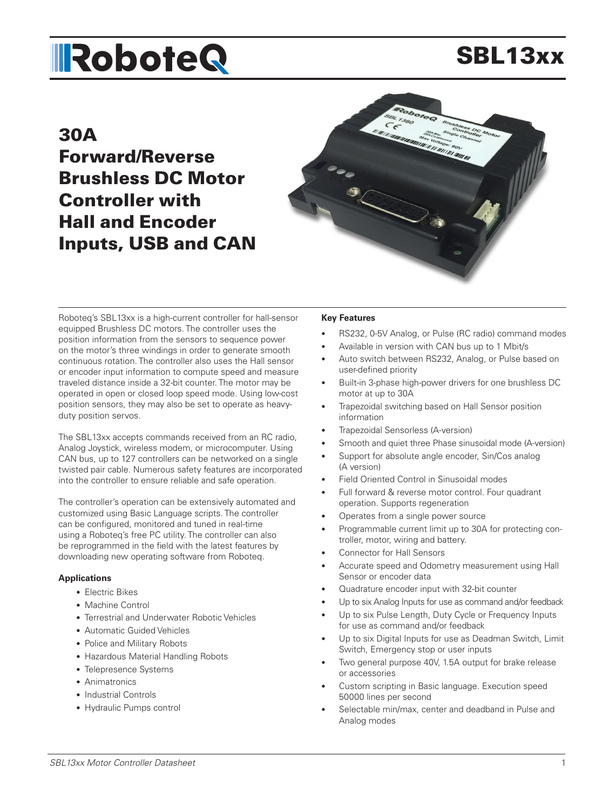# **IRoboteQ**

## SBL13xx

## 30A Forward/Reverse Brushless DC Motor Controller with Hall and Encoder Inputs, USB and CAN



Roboteq's SBL13xx is a high-current controller for hall-sensor equipped Brushless DC motors. The controller uses the position information from the sensors to sequence power on the motor's three windings in order to generate smooth continuous rotation. The controller also uses the Hall sensor or encoder input information to compute speed and measure traveled distance inside a 32-bit counter. The motor may be operated in open or closed loop speed mode. Using low-cost position sensors, they may also be set to operate as heavyduty position servos.

The SBL13xx accepts commands received from an RC radio, Analog Joystick, wireless modem, or microcomputer. Using CAN bus, up to 127 controllers can be networked on a single twisted pair cable. Numerous safety features are incorporated into the controller to ensure reliable and safe operation.

The controller's operation can be extensively automated and customized using Basic Language scripts. The controller can be configured, monitored and tuned in real-time using a Roboteq's free PC utility. The controller can also be reprogrammed in the field with the latest features by downloading new operating software from Roboteq.

#### **Applications**

- Electric Bikes
- Machine Control
- Terrestrial and Underwater Robotic Vehicles
- Automatic Guided Vehicles
- Police and Military Robots
- Hazardous Material Handling Robots
- Telepresence Systems
- Animatronics
- Industrial Controls
- Hydraulic Pumps control

#### **Key Features**

- RS232, 0-5V Analog, or Pulse (RC radio) command modes
- Available in version with CAN bus up to 1 Mbit/s
- Auto switch between RS232, Analog, or Pulse based on user-defined priority
- Built-in 3-phase high-power drivers for one brushless DC motor at up to 30A
- Trapezoidal switching based on Hall Sensor position information
- Trapezoidal Sensorless (A-version)
- Smooth and quiet three Phase sinusoidal mode (A-version)
- Support for absolute angle encoder, Sin/Cos analog (A version)
- Field Oriented Control in Sinusoidal modes
- Full forward & reverse motor control. Four quadrant operation. Supports regeneration
- Operates from a single power source
- Programmable current limit up to 30A for protecting controller, motor, wiring and battery.
- Connector for Hall Sensors
- Accurate speed and Odometry measurement using Hall Sensor or encoder data
- Quadrature encoder input with 32-bit counter
- Up to six Analog Inputs for use as command and/or feedback
- Up to six Pulse Length, Duty Cycle or Frequency Inputs for use as command and/or feedback
- Up to six Digital Inputs for use as Deadman Switch, Limit Switch, Emergency stop or user inputs
- Two general purpose 40V, 1.5A output for brake release or accessories
- Custom scripting in Basic language. Execution speed 50000 lines per second
- Selectable min/max, center and deadband in Pulse and Analog modes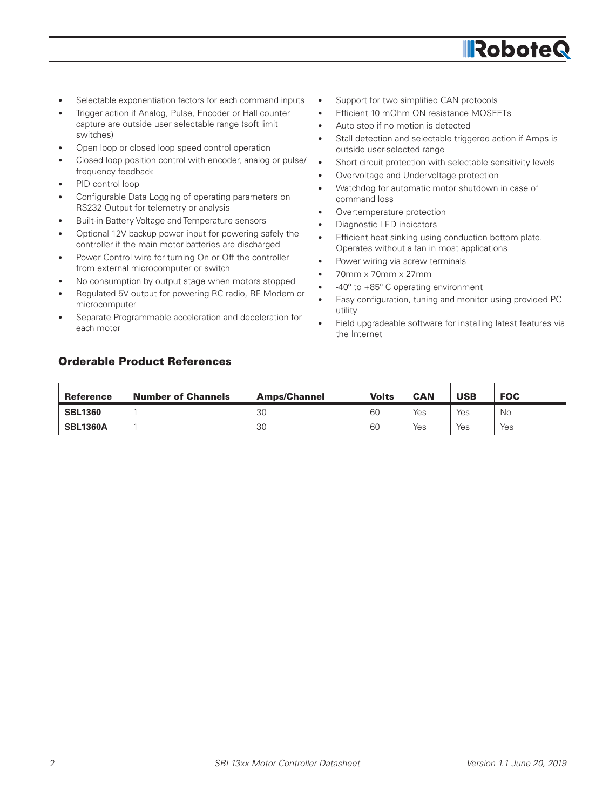

- Selectable exponentiation factors for each command inputs
- Trigger action if Analog, Pulse, Encoder or Hall counter capture are outside user selectable range (soft limit switches)
- Open loop or closed loop speed control operation
- Closed loop position control with encoder, analog or pulse/ frequency feedback
- PID control loop
- Configurable Data Logging of operating parameters on RS232 Output for telemetry or analysis
- Built-in Battery Voltage and Temperature sensors
- Optional 12V backup power input for powering safely the controller if the main motor batteries are discharged
- Power Control wire for turning On or Off the controller from external microcomputer or switch
- No consumption by output stage when motors stopped
- Regulated 5V output for powering RC radio, RF Modem or microcomputer
- Separate Programmable acceleration and deceleration for each motor
- Support for two simplified CAN protocols
- Efficient 10 mOhm ON resistance MOSFETs
- Auto stop if no motion is detected
- Stall detection and selectable triggered action if Amps is outside user-selected range
- Short circuit protection with selectable sensitivity levels
- Overvoltage and Undervoltage protection
- Watchdog for automatic motor shutdown in case of command loss
- Overtemperature protection
- Diagnostic LED indicators
- Efficient heat sinking using conduction bottom plate. Operates without a fan in most applications
- Power wiring via screw terminals
- 70mm x 70mm x 27mm
- -40º to +85º C operating environment
- Easy configuration, tuning and monitor using provided PC utility
- Field upgradeable software for installing latest features via the Internet

## Orderable Product References

| <b>Reference</b> | <b>Number of Channels</b> | <b>Amps/Channel</b> | <b>Volts</b> | <b>CAN</b> | <b>USB</b> | <b>FOC</b> |
|------------------|---------------------------|---------------------|--------------|------------|------------|------------|
| <b>SBL1360</b>   |                           | 30                  | 60           | Yes        | Yes        | No         |
| <b>SBL1360A</b>  |                           | 30                  | 60           | Yes        | Yes        | Yes        |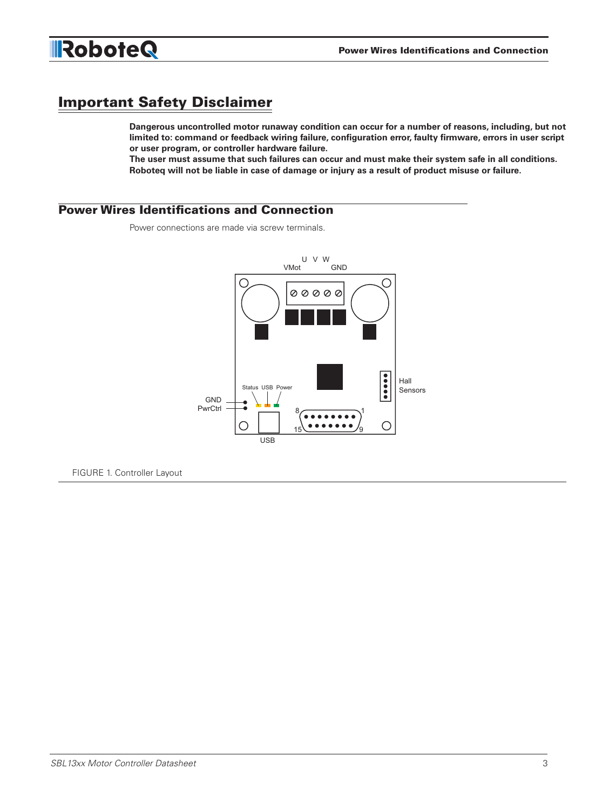

## Important Safety Disclaimer

**Dangerous uncontrolled motor runaway condition can occur for a number of reasons, including, but not limited to: command or feedback wiring failure, configuration error, faulty firmware, errors in user script or user program, or controller hardware failure.** 

**The user must assume that such failures can occur and must make their system safe in all conditions. Roboteq will not be liable in case of damage or injury as a result of product misuse or failure.**

## Power Wires Identifications and Connection

Power connections are made via screw terminals.



FIGURE 1. Controller Layout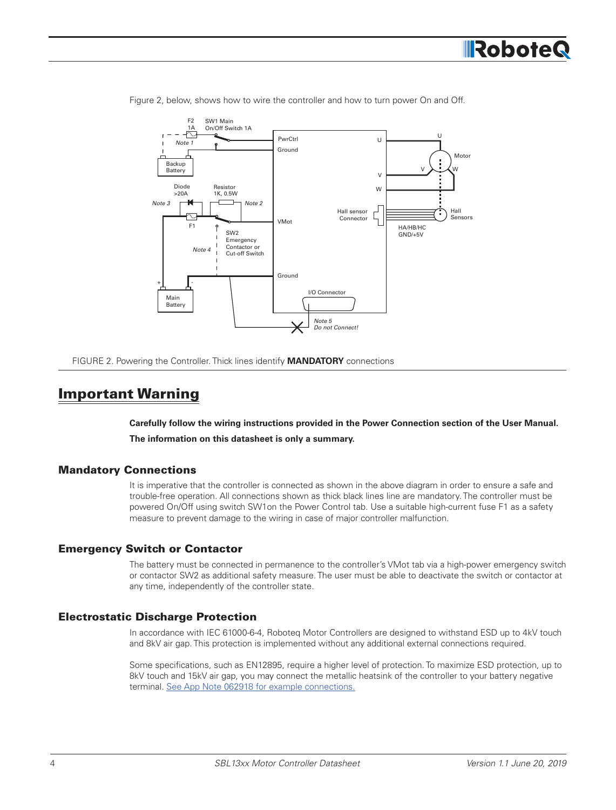



Figure 2, below, shows how to wire the controller and how to turn power On and Off.

FIGURE 2. Powering the Controller. Thick lines identify **MANDATORY** connections

## Important Warning

**Carefully follow the wiring instructions provided in the Power Connection section of the User Manual. The information on this datasheet is only a summary.**

#### Mandatory Connections

It is imperative that the controller is connected as shown in the above diagram in order to ensure a safe and trouble-free operation. All connections shown as thick black lines line are mandatory. The controller must be powered On/Off using switch SW1on the Power Control tab. Use a suitable high-current fuse F1 as a safety measure to prevent damage to the wiring in case of major controller malfunction.

#### Emergency Switch or Contactor

The battery must be connected in permanence to the controller's VMot tab via a high-power emergency switch or contactor SW2 as additional safety measure. The user must be able to deactivate the switch or contactor at any time, independently of the controller state.

#### Electrostatic Discharge Protection

In accordance with IEC 61000-6-4, Roboteq Motor Controllers are designed to withstand ESD up to 4kV touch and 8kV air gap. This protection is implemented without any additional external connections required.

Some specifications, such as EN12895, require a higher level of protection. To maximize ESD protection, up to 8kV touch and 15kV air gap, you may connect the metallic heatsink of the controller to your battery negative terminal. See App Note 062918 for example connections.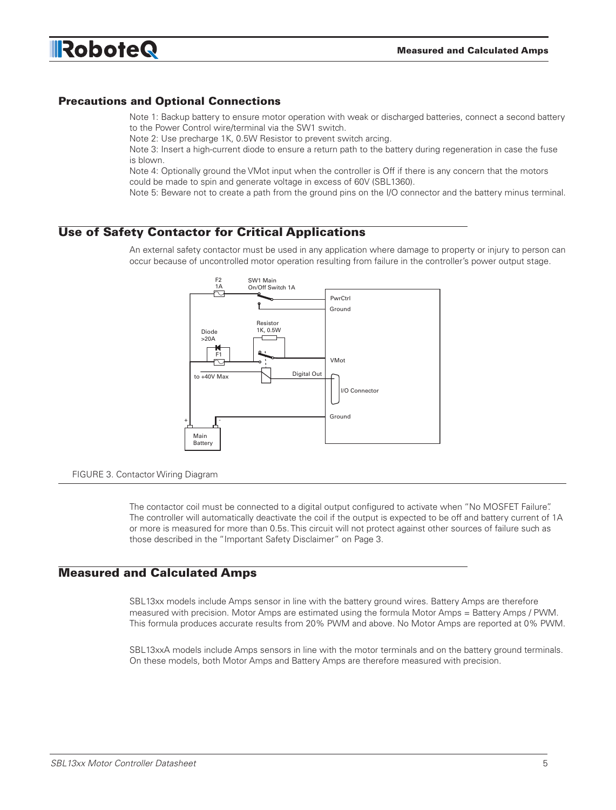

### Precautions and Optional Connections

Note 1: Backup battery to ensure motor operation with weak or discharged batteries, connect a second battery to the Power Control wire/terminal via the SW1 switch.

Note 2: Use precharge 1K, 0.5W Resistor to prevent switch arcing.

Note 3: Insert a high-current diode to ensure a return path to the battery during regeneration in case the fuse is blown.

Note 4: Optionally ground the VMot input when the controller is Off if there is any concern that the motors could be made to spin and generate voltage in excess of 60V (SBL1360).

Note 5: Beware not to create a path from the ground pins on the I/O connector and the battery minus terminal.

## Use of Safety Contactor for Critical Applications

An external safety contactor must be used in any application where damage to property or injury to person can occur because of uncontrolled motor operation resulting from failure in the controller's power output stage.



FIGURE 3. Contactor Wiring Diagram

The contactor coil must be connected to a digital output configured to activate when "No MOSFET Failure". The controller will automatically deactivate the coil if the output is expected to be off and battery current of 1A or more is measured for more than 0.5s. This circuit will not protect against other sources of failure such as those described in the "Important Safety Disclaimer" on Page 3.

## Measured and Calculated Amps

SBL13xx models include Amps sensor in line with the battery ground wires. Battery Amps are therefore measured with precision. Motor Amps are estimated using the formula Motor Amps = Battery Amps / PWM. This formula produces accurate results from 20% PWM and above. No Motor Amps are reported at 0% PWM.

SBL13xxA models include Amps sensors in line with the motor terminals and on the battery ground terminals. On these models, both Motor Amps and Battery Amps are therefore measured with precision.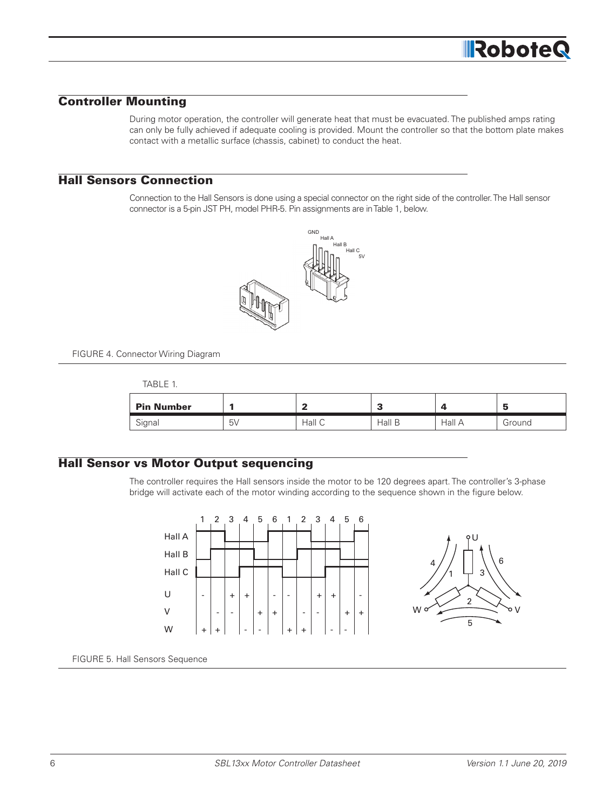## **IRoboteG**

## Controller Mounting

During motor operation, the controller will generate heat that must be evacuated. The published amps rating can only be fully achieved if adequate cooling is provided. Mount the controller so that the bottom plate makes contact with a metallic surface (chassis, cabinet) to conduct the heat.

### Hall Sensors Connection

Connection to the Hall Sensors is done using a special connector on the right side of the controller. The Hall sensor connector is a 5-pin JST PH, model PHR-5. Pin assignments are in Table 1, below.



FIGURE 4. Connector Wiring Diagram

|--|--|

| <b>Pin Number</b> |    |        | -<br>w |        | э      |
|-------------------|----|--------|--------|--------|--------|
| Signal            | 5V | Hall C | Hall B | Hall A | Ground |

## Hall Sensor vs Motor Output sequencing

The controller requires the Hall sensors inside the motor to be 120 degrees apart. The controller's 3-phase bridge will activate each of the motor winding according to the sequence shown in the figure below.



FIGURE 5. Hall Sensors Sequence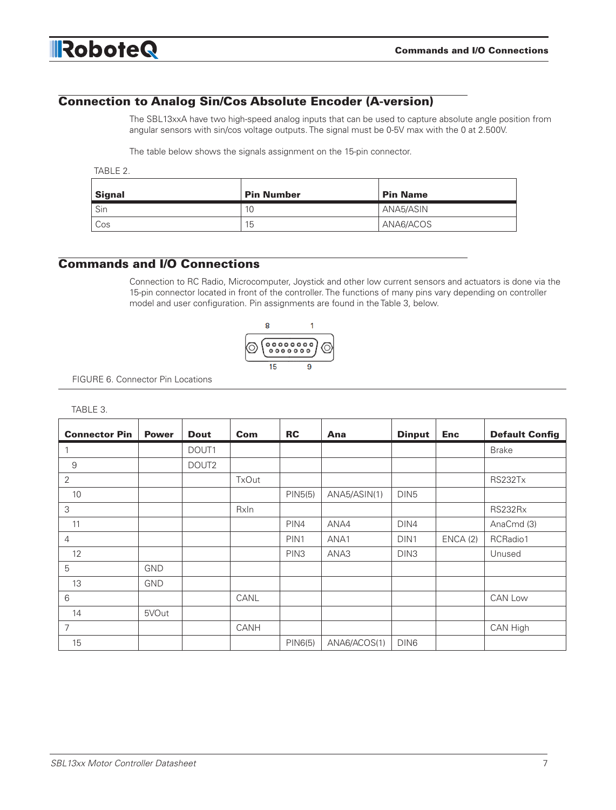

## Connection to Analog Sin/Cos Absolute Encoder (A-version)

The SBL13xxA have two high-speed analog inputs that can be used to capture absolute angle position from angular sensors with sin/cos voltage outputs. The signal must be 0-5V max with the 0 at 2.500V.

The table below shows the signals assignment on the 15-pin connector.

TABLE 2.

| <b>Signal</b> | <b>Pin Number</b> | <b>Pin Name</b> |
|---------------|-------------------|-----------------|
| Sin           | 10                | ANA5/ASIN       |
| Cos           | 15                | ANA6/ACOS       |

## Commands and I/O Connections

Connection to RC Radio, Microcomputer, Joystick and other low current sensors and actuators is done via the 15-pin connector located in front of the controller. The functions of many pins vary depending on controller model and user configuration. Pin assignments are found in the Table 3, below.



FIGURE 6. Connector Pin Locations

#### TABLE 3.

| <b>Connector Pin</b> | <b>Power</b> | <b>Dout</b>       | Com   | <b>RC</b>        | Ana          | <b>Dinput</b>    | <b>Enc</b> | <b>Default Config</b> |
|----------------------|--------------|-------------------|-------|------------------|--------------|------------------|------------|-----------------------|
|                      |              | DOUT1             |       |                  |              |                  |            | <b>Brake</b>          |
| $\mathsf 9$          |              | DOUT <sub>2</sub> |       |                  |              |                  |            |                       |
| $\overline{2}$       |              |                   | TxOut |                  |              |                  |            | <b>RS232Tx</b>        |
| 10                   |              |                   |       | PIN5(5)          | ANA5/ASIN(1) | DIN <sub>5</sub> |            |                       |
| 3                    |              |                   | RxIn  |                  |              |                  |            | RS232Rx               |
| 11                   |              |                   |       | PIN4             | ANA4         | DIN4             |            | AnaCmd (3)            |
| $\overline{4}$       |              |                   |       | PIN <sub>1</sub> | ANA1         | DIN <sub>1</sub> | ENCA(2)    | RCRadio1              |
| 12                   |              |                   |       | PIN <sub>3</sub> | ANA3         | DIN <sub>3</sub> |            | Unused                |
| 5                    | <b>GND</b>   |                   |       |                  |              |                  |            |                       |
| 13                   | <b>GND</b>   |                   |       |                  |              |                  |            |                       |
| 6                    |              |                   | CANL  |                  |              |                  |            | CAN Low               |
| 14                   | 5VOut        |                   |       |                  |              |                  |            |                       |
| $\overline{7}$       |              |                   | CANH  |                  |              |                  |            | CAN High              |
| 15                   |              |                   |       | PIN6(5)          | ANA6/ACOS(1) | DIN <sub>6</sub> |            |                       |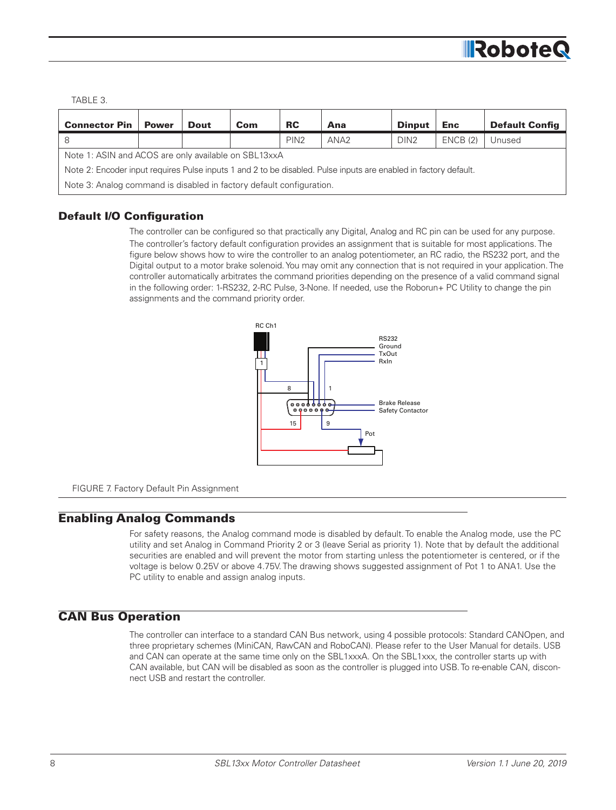TABLE 3.

| <b>Connector Pin</b>                                                                                             | <b>Power</b> | <b>Dout</b> | Com | <b>RC</b>        | Ana              | <b>Dinput</b>    | <b>Enc</b> | <b>Default Config</b> |
|------------------------------------------------------------------------------------------------------------------|--------------|-------------|-----|------------------|------------------|------------------|------------|-----------------------|
| 8                                                                                                                |              |             |     | PIN <sub>2</sub> | ANA <sub>2</sub> | DIN <sub>2</sub> | ENCB(2)    | Unused                |
| Note 1: ASIN and ACOS are only available on SBL13xxA                                                             |              |             |     |                  |                  |                  |            |                       |
| Note 2: Encoder input requires Pulse inputs 1 and 2 to be disabled. Pulse inputs are enabled in factory default. |              |             |     |                  |                  |                  |            |                       |
| Note 3: Analog command is disabled in factory default configuration.                                             |              |             |     |                  |                  |                  |            |                       |
|                                                                                                                  |              |             |     |                  |                  |                  |            |                       |

## Default I/O Configuration

The controller can be configured so that practically any Digital, Analog and RC pin can be used for any purpose. The controller's factory default configuration provides an assignment that is suitable for most applications. The figure below shows how to wire the controller to an analog potentiometer, an RC radio, the RS232 port, and the Digital output to a motor brake solenoid. You may omit any connection that is not required in your application. The controller automatically arbitrates the command priorities depending on the presence of a valid command signal in the following order: 1-RS232, 2-RC Pulse, 3-None. If needed, use the Roborun+ PC Utility to change the pin assignments and the command priority order.



FIGURE 7. Factory Default Pin Assignment

## Enabling Analog Commands

For safety reasons, the Analog command mode is disabled by default. To enable the Analog mode, use the PC utility and set Analog in Command Priority 2 or 3 (leave Serial as priority 1). Note that by default the additional securities are enabled and will prevent the motor from starting unless the potentiometer is centered, or if the voltage is below 0.25V or above 4.75V. The drawing shows suggested assignment of Pot 1 to ANA1. Use the PC utility to enable and assign analog inputs.

## CAN Bus Operation

The controller can interface to a standard CAN Bus network, using 4 possible protocols: Standard CANOpen, and three proprietary schemes (MiniCAN, RawCAN and RoboCAN). Please refer to the User Manual for details. USB and CAN can operate at the same time only on the SBL1xxxA. On the SBL1xxx, the controller starts up with CAN available, but CAN will be disabled as soon as the controller is plugged into USB. To re-enable CAN, disconnect USB and restart the controller.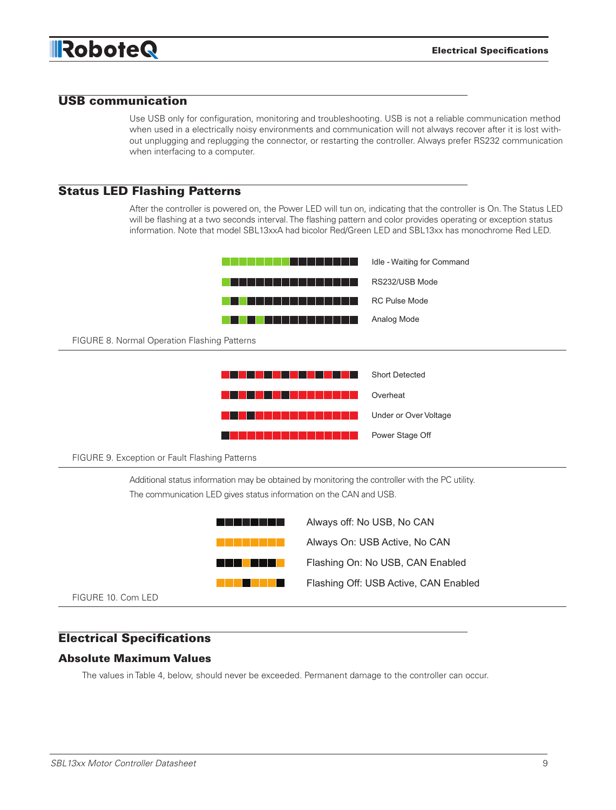

## USB communication

Use USB only for configuration, monitoring and troubleshooting. USB is not a reliable communication method when used in a electrically noisy environments and communication will not always recover after it is lost without unplugging and replugging the connector, or restarting the controller. Always prefer RS232 communication when interfacing to a computer.

## Status LED Flashing Patterns

After the controller is powered on, the Power LED will tun on, indicating that the controller is On. The Status LED will be flashing at a two seconds interval. The flashing pattern and color provides operating or exception status information. Note that model SBL13xxA had bicolor Red/Green LED and SBL13xx has monochrome Red LED.





#### FIGURE 9. Exception or Fault Flashing Patterns

Additional status information may be obtained by monitoring the controller with the PC utility. The communication LED gives status information on the CAN and USB.



### Electrical Specifications

## Absolute Maximum Values

The values in Table 4, below, should never be exceeded. Permanent damage to the controller can occur.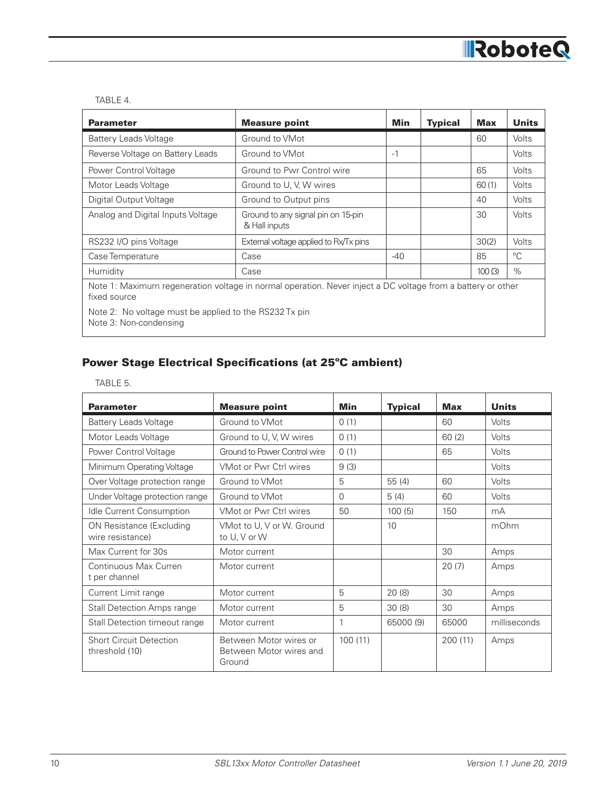

#### TABLE 4.

| <b>Parameter</b>                                                                 | <b>Measure point</b>                                                                                        | Min   | <b>Typical</b> | <b>Max</b> | <b>Units</b> |
|----------------------------------------------------------------------------------|-------------------------------------------------------------------------------------------------------------|-------|----------------|------------|--------------|
| <b>Battery Leads Voltage</b>                                                     | Ground to VMot                                                                                              |       |                | 60         | Volts        |
| Reverse Voltage on Battery Leads                                                 | Ground to VMot                                                                                              | $-1$  |                |            | Volts        |
| Power Control Voltage                                                            | Ground to Pwr Control wire                                                                                  |       |                | 65         | Volts        |
| Motor Leads Voltage                                                              | Ground to U, V, W wires                                                                                     |       |                | 60(1)      | <b>Volts</b> |
| Digital Output Voltage                                                           | Ground to Output pins                                                                                       |       |                | 40         | Volts        |
| Analog and Digital Inputs Voltage                                                | Ground to any signal pin on 15-pin<br>& Hall inputs                                                         |       |                | 30         | Volts        |
| RS232 I/O pins Voltage                                                           | External voltage applied to Rx/Tx pins                                                                      |       |                | 30(2)      | Volts        |
| Case Temperature                                                                 | Case                                                                                                        | $-40$ |                | 85         | $^{\circ}C$  |
| Humidity                                                                         | Case                                                                                                        |       |                | 100(3)     | $\%$         |
| fixed source                                                                     | Note 1: Maximum regeneration voltage in normal operation. Never inject a DC voltage from a battery or other |       |                |            |              |
| Note 2: No voltage must be applied to the RS232 Tx pin<br>Note 3: Non-condensing |                                                                                                             |       |                |            |              |

## Power Stage Electrical Specifications (at 25ºC ambient)

|--|--|

| <b>Parameter</b>                                    | <b>Measure point</b>                                        | Min      | <b>Typical</b> | <b>Max</b> | <b>Units</b> |
|-----------------------------------------------------|-------------------------------------------------------------|----------|----------------|------------|--------------|
| <b>Battery Leads Voltage</b>                        | Ground to VMot                                              | 0(1)     |                | 60         | Volts        |
| Motor Leads Voltage                                 | Ground to U, V, W wires                                     | 0(1)     |                | 60(2)      | Volts        |
| Power Control Voltage                               | Ground to Power Control wire                                | 0(1)     |                | 65         | Volts        |
| Minimum Operating Voltage                           | VMot or Pwr Ctrl wires                                      | 9(3)     |                |            | Volts        |
| Over Voltage protection range                       | Ground to VMot                                              | 5        | 55(4)          | 60         | Volts        |
| Under Voltage protection range                      | Ground to VMot                                              | $\Omega$ | 5(4)           | 60         | Volts        |
| Idle Current Consumption                            | VMot or Pwr Ctrl wires                                      | 50       | 100(5)         | 150        | mA           |
| <b>ON Resistance (Excluding</b><br>wire resistance) | VMot to U, V or W. Ground<br>to U, V or W                   |          | 10             |            | mOhm         |
| Max Current for 30s                                 | Motor current                                               |          |                | 30         | Amps         |
| Continuous Max Curren<br>t per channel              | Motor current                                               |          |                | 20(7)      | Amps         |
| Current Limit range                                 | Motor current                                               | 5        | 20(8)          | 30         | Amps         |
| <b>Stall Detection Amps range</b>                   | Motor current                                               | 5        | 30(8)          | 30         | Amps         |
| Stall Detection timeout range                       | Motor current                                               |          | 65000 (9)      | 65000      | milliseconds |
| <b>Short Circuit Detection</b><br>threshold (10)    | Between Motor wires or<br>Between Motor wires and<br>Ground | 100(11)  |                | 200(11)    | Amps         |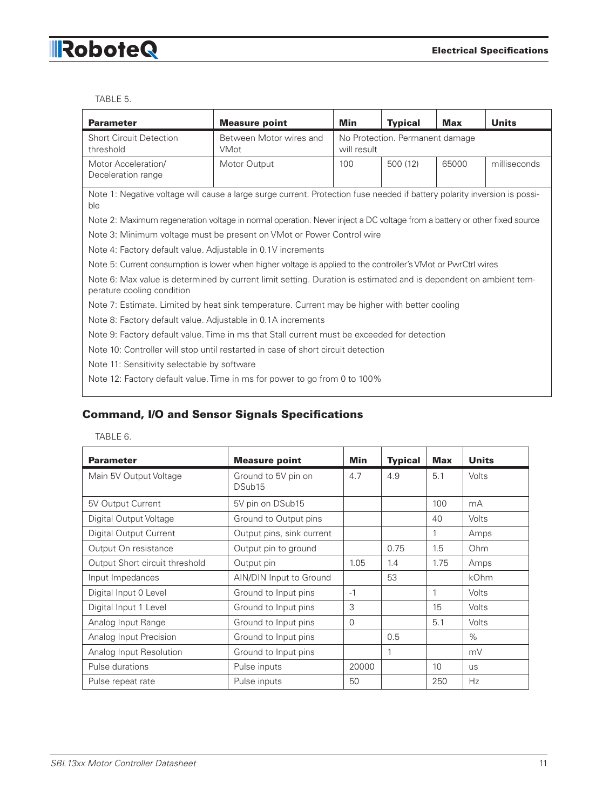TABLE 5.

| <b>Parameter</b>                                                                                                                               | <b>Measure point</b>            | Min         | <b>Typical</b>                  | Max   | <b>Units</b> |
|------------------------------------------------------------------------------------------------------------------------------------------------|---------------------------------|-------------|---------------------------------|-------|--------------|
| <b>Short Circuit Detection</b><br>threshold                                                                                                    | Between Motor wires and<br>VMot | will result | No Protection. Permanent damage |       |              |
| Motor Acceleration/<br>Deceleration range                                                                                                      | Motor Output                    | 100         | 500(12)                         | 65000 | milliseconds |
| Note 1: Negative voltage will cause a large surge current. Protection fuse needed if battery polarity inversion is possi-<br>ble               |                                 |             |                                 |       |              |
| Note 2: Maximum regeneration voltage in normal operation. Never inject a DC voltage from a battery or other fixed source                       |                                 |             |                                 |       |              |
| Note 3: Minimum voltage must be present on VMot or Power Control wire                                                                          |                                 |             |                                 |       |              |
| Note 4: Factory default value. Adjustable in 0.1V increments                                                                                   |                                 |             |                                 |       |              |
| Note 5: Current consumption is lower when higher voltage is applied to the controller's VMot or PwrCtrl wires                                  |                                 |             |                                 |       |              |
| Note 6: Max value is determined by current limit setting. Duration is estimated and is dependent on ambient tem-<br>perature cooling condition |                                 |             |                                 |       |              |
| Note 7: Estimate. Limited by heat sink temperature. Current may be higher with better cooling                                                  |                                 |             |                                 |       |              |
| Note 8: Factory default value. Adjustable in 0.1A increments                                                                                   |                                 |             |                                 |       |              |
| Note 9: Factory default value. Time in ms that Stall current must be exceeded for detection                                                    |                                 |             |                                 |       |              |
| Note 10: Controller will stop until restarted in case of short circuit detection                                                               |                                 |             |                                 |       |              |
| Note 11: Sensitivity selectable by software                                                                                                    |                                 |             |                                 |       |              |
| Note 12: Factory default value. Time in ms for power to go from 0 to 100%                                                                      |                                 |             |                                 |       |              |

## Command, I/O and Sensor Signals Specifications

TABLE 6.

| <b>Parameter</b>               | <b>Measure point</b>                      | <b>Min</b> | <b>Typical</b> | <b>Max</b> | <b>Units</b> |
|--------------------------------|-------------------------------------------|------------|----------------|------------|--------------|
| Main 5V Output Voltage         | Ground to 5V pin on<br>DSub <sub>15</sub> | 4.7        | 4.9            | 5.1        | Volts        |
| 5V Output Current              | 5V pin on DSub15                          |            |                | 100        | mA           |
| Digital Output Voltage         | Ground to Output pins                     |            |                | 40         | Volts        |
| Digital Output Current         | Output pins, sink current                 |            |                |            | Amps         |
| Output On resistance           | Output pin to ground                      |            | 0.75           | 1.5        | Ohm          |
| Output Short circuit threshold | Output pin                                | 1.05       | 1.4            | 1.75       | Amps         |
| Input Impedances               | AIN/DIN Input to Ground                   |            | 53             |            | kOhm         |
| Digital Input 0 Level          | Ground to Input pins                      | $-1$       |                |            | Volts        |
| Digital Input 1 Level          | Ground to Input pins                      | 3          |                | 15         | Volts        |
| Analog Input Range             | Ground to Input pins                      | 0          |                | 5.1        | Volts        |
| Analog Input Precision         | Ground to Input pins                      |            | 0.5            |            | $\%$         |
| Analog Input Resolution        | Ground to Input pins                      |            |                |            | mV           |
| Pulse durations                | Pulse inputs                              | 20000      |                | 10         | <b>US</b>    |
| Pulse repeat rate              | Pulse inputs                              | 50         |                | 250        | Hz           |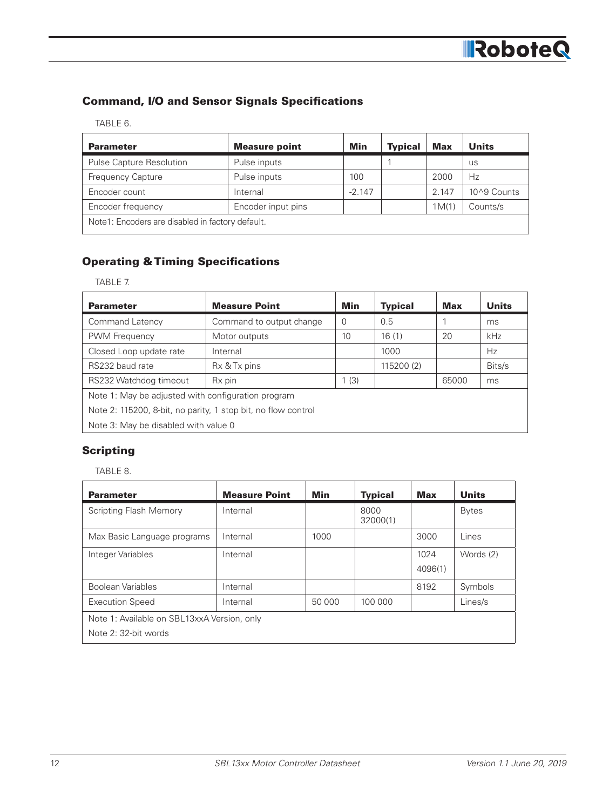## Command, I/O and Sensor Signals Specifications

| ٧ |
|---|
|---|

| <b>Parameter</b>                                 | <b>Measure point</b> | Min      | <b>Typical</b> | <b>Max</b> | <b>Units</b> |
|--------------------------------------------------|----------------------|----------|----------------|------------|--------------|
| Pulse Capture Resolution                         | Pulse inputs         |          |                |            | us           |
| <b>Frequency Capture</b>                         | Pulse inputs         | 100      |                | 2000       | Hz           |
| Encoder count                                    | Internal             | $-2.147$ |                | 2.147      | 10^9 Counts  |
| Encoder frequency                                | Encoder input pins   |          |                | 1M(1)      | Counts/s     |
| Note1: Encoders are disabled in factory default. |                      |          |                |            |              |

## Operating & Timing Specifications

TABLE 7.

| <b>Parameter</b>                                              | <b>Measure Point</b>     | <b>Min</b> | <b>Typical</b> | Max   | <b>Units</b> |  |
|---------------------------------------------------------------|--------------------------|------------|----------------|-------|--------------|--|
| Command Latency                                               | Command to output change | $\Omega$   | 0.5            |       | ms           |  |
| <b>PWM Frequency</b>                                          | Motor outputs            | 10         | 16(1)          | 20    | kHz          |  |
| Closed Loop update rate                                       | Internal                 |            | 1000           |       | <b>Hz</b>    |  |
| RS232 baud rate                                               | Rx & Tx pins             |            | 115200 (2)     |       | Bits/s       |  |
| RS232 Watchdog timeout                                        | R <sub>x</sub> pin       | 1(3)       |                | 65000 | ms           |  |
| Note 1: May be adjusted with configuration program            |                          |            |                |       |              |  |
| Note 2: 115200, 8-bit, no parity, 1 stop bit, no flow control |                          |            |                |       |              |  |
| Note 3: May be disabled with value 0                          |                          |            |                |       |              |  |

## **Scripting**

TABLE 8.

| <b>Parameter</b>                                                    | <b>Measure Point</b> | Min    | <b>Typical</b>   | <b>Max</b>      | <b>Units</b> |  |
|---------------------------------------------------------------------|----------------------|--------|------------------|-----------------|--------------|--|
| <b>Scripting Flash Memory</b>                                       | Internal             |        | 8000<br>32000(1) |                 | <b>Bytes</b> |  |
| Max Basic Language programs                                         | Internal             | 1000   |                  | 3000            | Lines        |  |
| Integer Variables                                                   | Internal             |        |                  | 1024<br>4096(1) | Words (2)    |  |
| Boolean Variables                                                   | Internal             |        |                  | 8192            | Symbols      |  |
| <b>Execution Speed</b>                                              | Internal             | 50 000 | 100 000          |                 | Lines/s      |  |
| Note 1: Available on SBL13xxA Version, only<br>Note 2: 32-bit words |                      |        |                  |                 |              |  |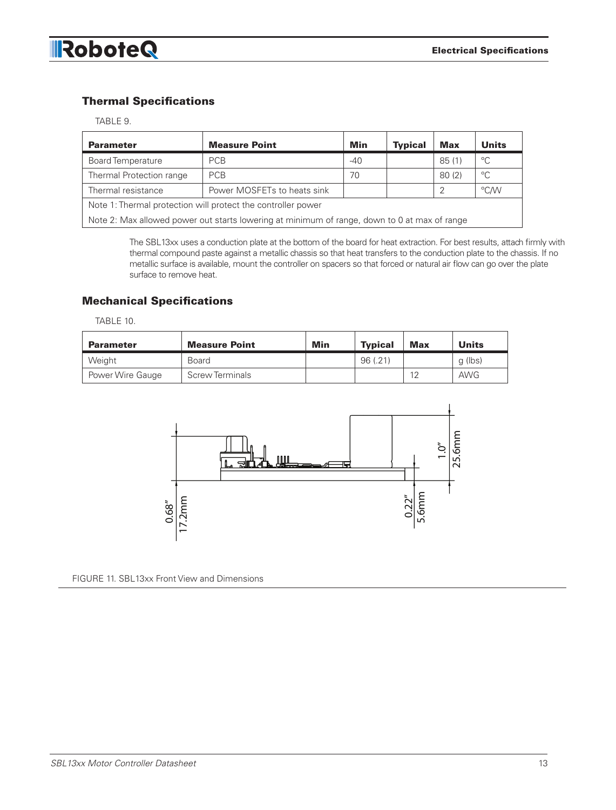## Thermal Specifications

TABLE 9.

| <b>Parameter</b>                                                                             | <b>Measure Point</b>        | Min   | <b>Typical</b> | <b>Max</b> | <b>Units</b> |
|----------------------------------------------------------------------------------------------|-----------------------------|-------|----------------|------------|--------------|
| <b>Board Temperature</b>                                                                     | <b>PCB</b>                  | $-40$ |                | 85(1)      | $^{\circ}$ C |
| Thermal Protection range                                                                     | <b>PCB</b>                  | 70    |                | 80(2)      | $^{\circ}$ C |
| Thermal resistance                                                                           | Power MOSFETs to heats sink |       |                | 2          | °C/W         |
| Note 1: Thermal protection will protect the controller power                                 |                             |       |                |            |              |
| Note 2: Max allowed power out starts lowering at minimum of range, down to 0 at max of range |                             |       |                |            |              |

The SBL13xx uses a conduction plate at the bottom of the board for heat extraction. For best results, attach firmly with thermal compound paste against a metallic chassis so that heat transfers to the conduction plate to the chassis. If no metallic surface is available, mount the controller on spacers so that forced or natural air flow can go over the plate surface to remove heat.

## Mechanical Specifications

TABLE 10.

| <b>Parameter</b> | <b>Measure Point</b>   | Min | <b>Typical</b> | <b>Max</b> | Units   |
|------------------|------------------------|-----|----------------|------------|---------|
| Weight           | <b>Board</b>           |     | 96 (.21)       |            | g (lbs) |
| Power Wire Gauge | <b>Screw Terminals</b> |     |                | 12         | AWG     |



FIGURE 11. SBL13xx Front View and Dimensions